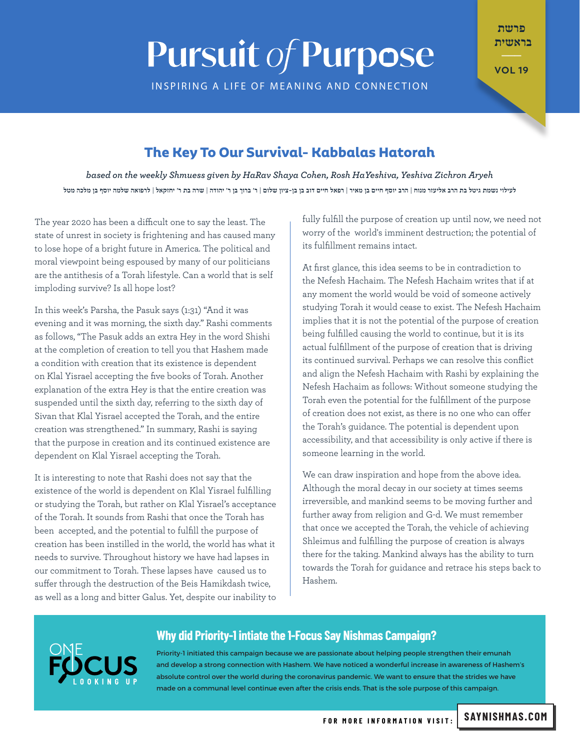# **Pursuit of Purpose**

INSPIRING A LIFE OF MEANING AND CONNECTION

פרשת בראשית  $\overline{\phantom{a}}$ 

**VOL 19** 

## **The Key To Our Survival- Kabbalas Hatorah**

based on the weekly Shmuess given by HaRav Shaya Cohen, Rosh HaYeshiva, Yeshiva Zichron Aryeh לעילוי נשמת גיטל בת הרב אליעזר מנוח | הרב יוסף חיים בן מאיר | רפאל חיים דוב בן בן-ציון שלום | ר' ברוך בן ר' יהודה | שרה בת ר' יחזקאל | לרפואה שלמה יוסף בן מלכה מטל

The year 2020 has been a difficult one to say the least. The state of unrest in society is frightening and has caused many to lose hope of a bright future in America. The political and moral viewpoint being espoused by many of our politicians are the antithesis of a Torah lifestyle. Can a world that is self imploding survive? Is all hope lost?

In this week's Parsha, the Pasuk says (1:31) "And it was evening and it was morning, the sixth day." Rashi comments as follows, "The Pasuk adds an extra Hey in the word Shishi at the completion of creation to tell you that Hashem made a condition with creation that its existence is dependent on Klal Yisrael accepting the five books of Torah. Another explanation of the extra Hey is that the entire creation was suspended until the sixth day, referring to the sixth day of Sivan that Klal Yisrael accepted the Torah, and the entire creation was strengthened." In summary, Rashi is saying that the purpose in creation and its continued existence are dependent on Klal Yisrael accepting the Torah.

It is interesting to note that Rashi does not say that the existence of the world is dependent on Klal Yisrael fulfilling or studying the Torah, but rather on Klal Yisrael's acceptance of the Torah. It sounds from Rashi that once the Torah has been accepted, and the potential to fulfill the purpose of creation has been instilled in the world, the world has what it needs to survive. Throughout history we have had lapses in our commitment to Torah. These lapses have caused us to suffer through the destruction of the Beis Hamikdash twice, as well as a long and bitter Galus. Yet, despite our inability to fully fulfill the purpose of creation up until now, we need not worry of the world's imminent destruction; the potential of its fulfillment remains intact.

At first glance, this idea seems to be in contradiction to the Nefesh Hachaim. The Nefesh Hachaim writes that if at any moment the world would be void of someone actively studying Torah it would cease to exist. The Nefesh Hachaim implies that it is not the potential of the purpose of creation being fulfilled causing the world to continue, but it is its actual fulfillment of the purpose of creation that is driving its continued survival. Perhaps we can resolve this conflict and align the Nefesh Hachaim with Rashi by explaining the Nefesh Hachaim as follows: Without someone studying the Torah even the potential for the fulfillment of the purpose of creation does not exist, as there is no one who can offer the Torah's quidance. The potential is dependent upon accessibility, and that accessibility is only active if there is someone learning in the world.

We can draw inspiration and hope from the above idea. Although the moral decay in our society at times seems irreversible, and mankind seems to be moving further and further away from religion and G-d. We must remember that once we accepted the Torah, the vehicle of achieving Shleimus and fulfilling the purpose of creation is always there for the taking. Mankind always has the ability to turn towards the Torah for guidance and retrace his steps back to .Hashem

### **Why did Priority-1 intiate the 1-Focus Say Nishmas Campaign?**

Priority-1 initiated this campaign because we are passionate about helping people strengthen their emunah and develop a strong connection with Hashem. We have noticed a wonderful increase in awareness of Hashem's absolute control over the world during the coronavirus pandemic. We want to ensure that the strides we have made on a communal level continue even after the crisis ends. That is the sole purpose of this campaign.